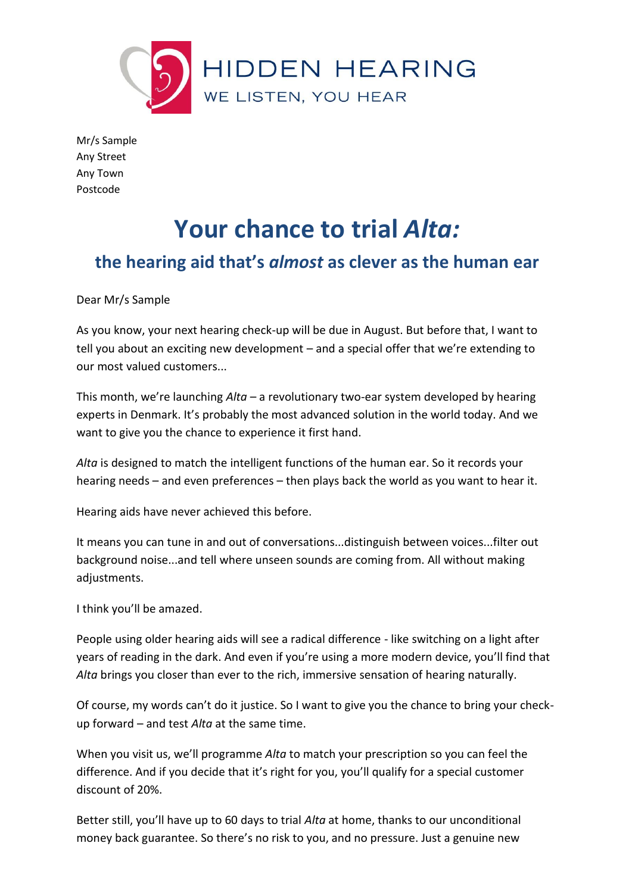

Mr/s Sample Any Street Any Town Postcode

# **Your chance to trial** *Alta:*

## **the hearing aid that's** *almost* **as clever as the human ear**

Dear Mr/s Sample

As you know, your next hearing check-up will be due in August. But before that, I want to tell you about an exciting new development – and a special offer that we're extending to our most valued customers...

This month, we're launching *Alta* – a revolutionary two-ear system developed by hearing experts in Denmark. It's probably the most advanced solution in the world today. And we want to give you the chance to experience it first hand.

*Alta* is designed to match the intelligent functions of the human ear. So it records your hearing needs – and even preferences – then plays back the world as you want to hear it.

Hearing aids have never achieved this before.

It means you can tune in and out of conversations...distinguish between voices...filter out background noise...and tell where unseen sounds are coming from. All without making adjustments.

I think you'll be amazed.

People using older hearing aids will see a radical difference - like switching on a light after years of reading in the dark. And even if you're using a more modern device, you'll find that *Alta* brings you closer than ever to the rich, immersive sensation of hearing naturally.

Of course, my words can't do it justice. So I want to give you the chance to bring your checkup forward – and test *Alta* at the same time.

When you visit us, we'll programme *Alta* to match your prescription so you can feel the difference. And if you decide that it's right for you, you'll qualify for a special customer discount of 20%.

Better still, you'll have up to 60 days to trial *Alta* at home, thanks to our unconditional money back guarantee. So there's no risk to you, and no pressure. Just a genuine new